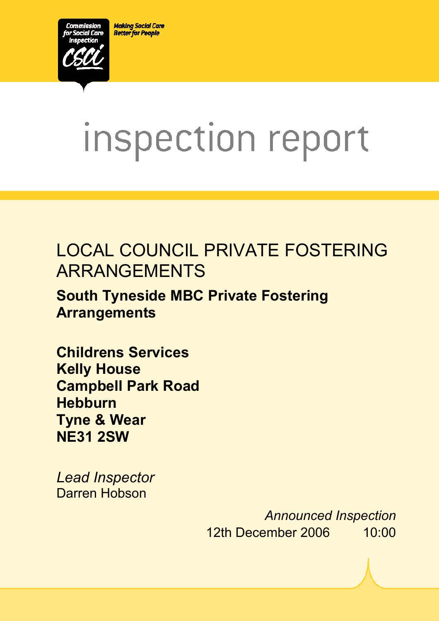**Making Social Care Better for People** 



# inspection report

# LOCAL COUNCIL PRIVATE FOSTERING ARRANGEMENTS

 $X_1$ 10029.doc Version 1.40 Page 1.40 Page 1.40 Page 1.40 Page 1.40 Page 1.40 Page 1.40 Page 1.40 Page 1.40 Page 1.40 Page 1.40 Page 1.40 Page 1.40 Page 1.40 Page 1.40 Page 1.40 Page 1.40 Page 1.40 Page 1.40 Page 1.40 Pag

# **South Tyneside MBC Private Fostering Arrangements**

**Childrens Services Kelly House Campbell Park Road Hebburn Tyne & Wear NE31 2SW** 

*Lead Inspector*  Darren Hobson

> *Announced Inspection* 12th December 2006 10:00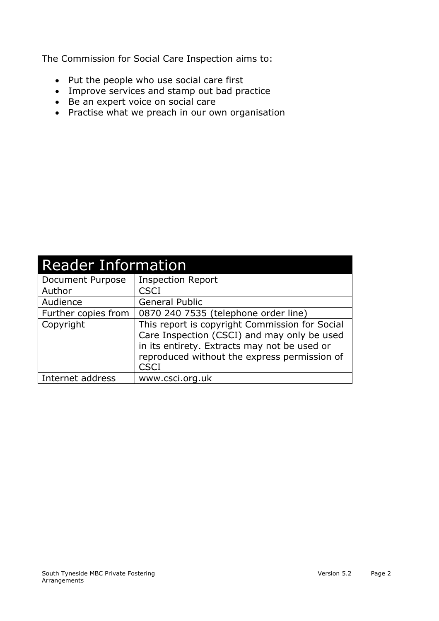The Commission for Social Care Inspection aims to:

- Put the people who use social care first
- Improve services and stamp out bad practice
- Be an expert voice on social care
- Practise what we preach in our own organisation

| <b>Reader Information</b> |                                                                                                                                                                                                              |  |
|---------------------------|--------------------------------------------------------------------------------------------------------------------------------------------------------------------------------------------------------------|--|
| Document Purpose          | <b>Inspection Report</b>                                                                                                                                                                                     |  |
| Author                    | <b>CSCI</b>                                                                                                                                                                                                  |  |
| Audience                  | <b>General Public</b>                                                                                                                                                                                        |  |
| Further copies from       | 0870 240 7535 (telephone order line)                                                                                                                                                                         |  |
| Copyright                 | This report is copyright Commission for Social<br>Care Inspection (CSCI) and may only be used<br>in its entirety. Extracts may not be used or<br>reproduced without the express permission of<br><b>CSCI</b> |  |
| Internet address          | www.csci.org.uk                                                                                                                                                                                              |  |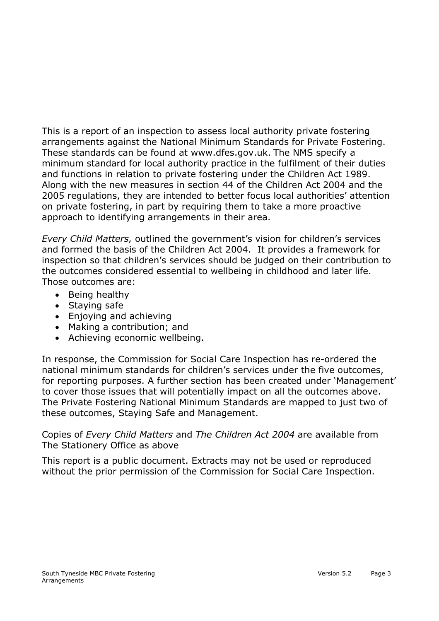This is a report of an inspection to assess local authority private fostering arrangements against the National Minimum Standards for Private Fostering. These standards can be found at www.dfes.gov.uk. The NMS specify a minimum standard for local authority practice in the fulfilment of their duties and functions in relation to private fostering under the Children Act 1989. Along with the new measures in section 44 of the Children Act 2004 and the 2005 regulations, they are intended to better focus local authorities' attention on private fostering, in part by requiring them to take a more proactive approach to identifying arrangements in their area.

*Every Child Matters,* outlined the government's vision for children's services and formed the basis of the Children Act 2004. It provides a framework for inspection so that children's services should be judged on their contribution to the outcomes considered essential to wellbeing in childhood and later life. Those outcomes are:

- Being healthy
- Staying safe
- Enjoying and achieving
- Making a contribution; and
- Achieving economic wellbeing.

In response, the Commission for Social Care Inspection has re-ordered the national minimum standards for children's services under the five outcomes, for reporting purposes. A further section has been created under 'Management' to cover those issues that will potentially impact on all the outcomes above. The Private Fostering National Minimum Standards are mapped to just two of these outcomes, Staying Safe and Management.

Copies of *Every Child Matters* and *The Children Act 2004* are available from The Stationery Office as above

This report is a public document. Extracts may not be used or reproduced without the prior permission of the Commission for Social Care Inspection.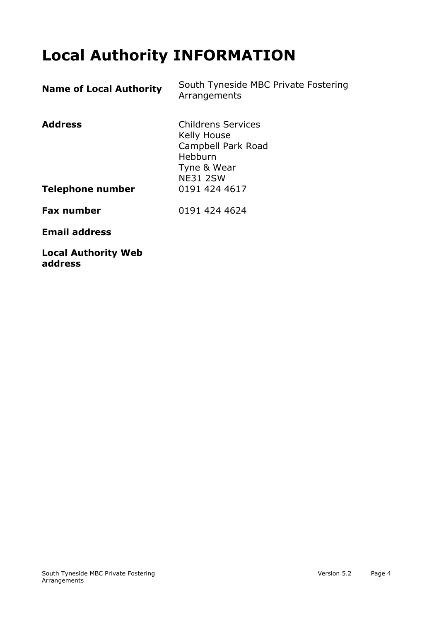# **Local Authority INFORMATION**

| <b>Name of Local Authority</b> | South Tyneside MBC Private Fostering<br>Arrangements                                                        |
|--------------------------------|-------------------------------------------------------------------------------------------------------------|
| <b>Address</b>                 | <b>Childrens Services</b><br>Kelly House<br>Campbell Park Road<br>Hebburn<br>Tyne & Wear<br><b>NE31 2SW</b> |
| Telephone number               | 0191 424 4617                                                                                               |
| <b>Fax number</b>              | 0191 424 4624                                                                                               |
| <b>Email address</b>           |                                                                                                             |
| <b>Local Authority Web</b>     |                                                                                                             |

**address**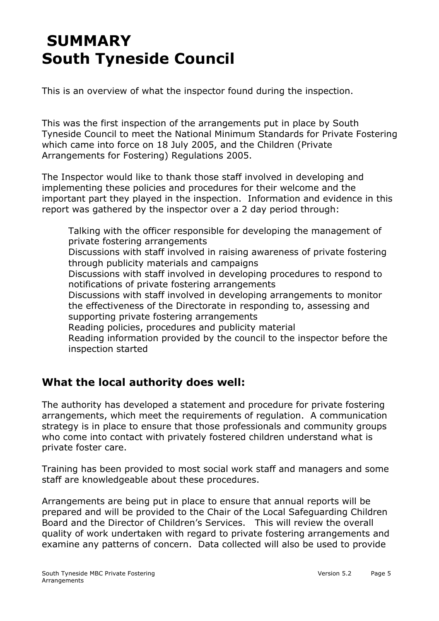# **SUMMARY South Tyneside Council**

This is an overview of what the inspector found during the inspection.

This was the first inspection of the arrangements put in place by South Tyneside Council to meet the National Minimum Standards for Private Fostering which came into force on 18 July 2005, and the Children (Private Arrangements for Fostering) Regulations 2005.

The Inspector would like to thank those staff involved in developing and implementing these policies and procedures for their welcome and the important part they played in the inspection. Information and evidence in this report was gathered by the inspector over a 2 day period through:

Talking with the officer responsible for developing the management of private fostering arrangements Discussions with staff involved in raising awareness of private fostering through publicity materials and campaigns Discussions with staff involved in developing procedures to respond to notifications of private fostering arrangements Discussions with staff involved in developing arrangements to monitor the effectiveness of the Directorate in responding to, assessing and supporting private fostering arrangements Reading policies, procedures and publicity material Reading information provided by the council to the inspector before the inspection started

#### **What the local authority does well:**

The authority has developed a statement and procedure for private fostering arrangements, which meet the requirements of regulation. A communication strategy is in place to ensure that those professionals and community groups who come into contact with privately fostered children understand what is private foster care.

Training has been provided to most social work staff and managers and some staff are knowledgeable about these procedures.

Arrangements are being put in place to ensure that annual reports will be prepared and will be provided to the Chair of the Local Safeguarding Children Board and the Director of Children's Services. This will review the overall quality of work undertaken with regard to private fostering arrangements and examine any patterns of concern. Data collected will also be used to provide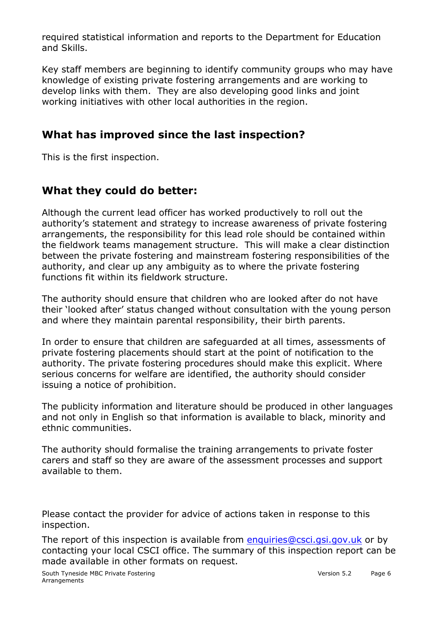required statistical information and reports to the Department for Education and Skills.

Key staff members are beginning to identify community groups who may have knowledge of existing private fostering arrangements and are working to develop links with them. They are also developing good links and joint working initiatives with other local authorities in the region.

#### **What has improved since the last inspection?**

This is the first inspection.

### **What they could do better:**

Although the current lead officer has worked productively to roll out the authority's statement and strategy to increase awareness of private fostering arrangements, the responsibility for this lead role should be contained within the fieldwork teams management structure. This will make a clear distinction between the private fostering and mainstream fostering responsibilities of the authority, and clear up any ambiguity as to where the private fostering functions fit within its fieldwork structure.

The authority should ensure that children who are looked after do not have their 'looked after' status changed without consultation with the young person and where they maintain parental responsibility, their birth parents.

In order to ensure that children are safeguarded at all times, assessments of private fostering placements should start at the point of notification to the authority. The private fostering procedures should make this explicit. Where serious concerns for welfare are identified, the authority should consider issuing a notice of prohibition.

The publicity information and literature should be produced in other languages and not only in English so that information is available to black, minority and ethnic communities.

The authority should formalise the training arrangements to private foster carers and staff so they are aware of the assessment processes and support available to them.

Please contact the provider for advice of actions taken in response to this inspection.

The report of this inspection is available from enquiries@csci.gsi.gov.uk or by contacting your local CSCI office. The summary of this inspection report can be made available in other formats on request.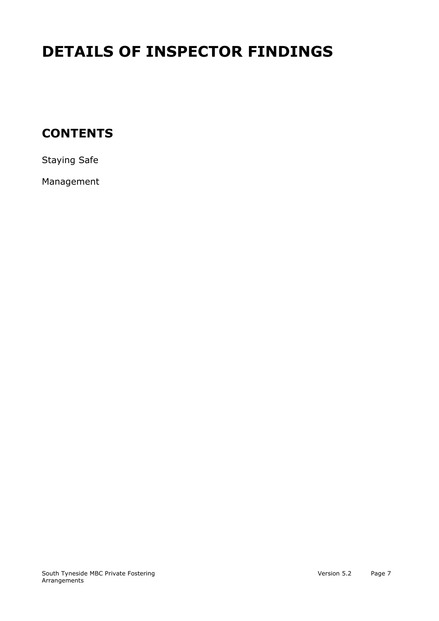# **DETAILS OF INSPECTOR FINDINGS**

## **CONTENTS**

Staying Safe

Management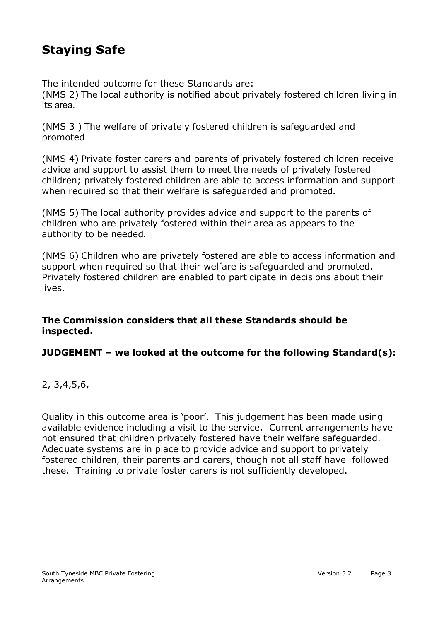## **Staying Safe**

The intended outcome for these Standards are:

(NMS 2) The local authority is notified about privately fostered children living in its area.

(NMS 3 ) The welfare of privately fostered children is safeguarded and promoted

(NMS 4) Private foster carers and parents of privately fostered children receive advice and support to assist them to meet the needs of privately fostered children; privately fostered children are able to access information and support when required so that their welfare is safeguarded and promoted**.** 

(NMS 5) The local authority provides advice and support to the parents of children who are privately fostered within their area as appears to the authority to be needed**.** 

(NMS 6) Children who are privately fostered are able to access information and support when required so that their welfare is safeguarded and promoted. Privately fostered children are enabled to participate in decisions about their lives.

#### **The Commission considers that all these Standards should be inspected.**

#### **JUDGEMENT – we looked at the outcome for the following Standard(s):**

#### 2, 3,4,5,6,

Quality in this outcome area is 'poor'. This judgement has been made using available evidence including a visit to the service. Current arrangements have not ensured that children privately fostered have their welfare safeguarded. Adequate systems are in place to provide advice and support to privately fostered children, their parents and carers, though not all staff have followed these. Training to private foster carers is not sufficiently developed.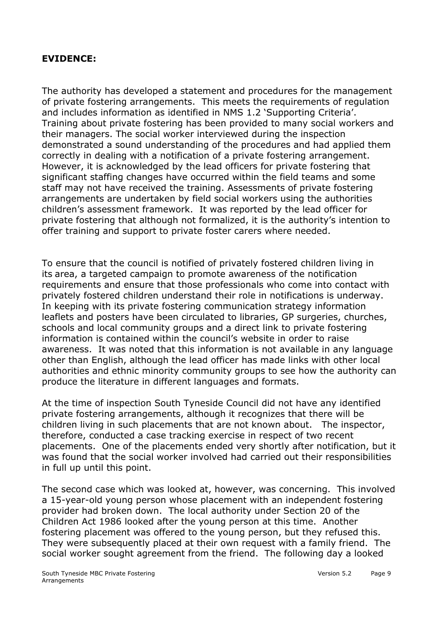#### **EVIDENCE:**

The authority has developed a statement and procedures for the management of private fostering arrangements. This meets the requirements of regulation and includes information as identified in NMS 1.2 'Supporting Criteria'. Training about private fostering has been provided to many social workers and their managers. The social worker interviewed during the inspection demonstrated a sound understanding of the procedures and had applied them correctly in dealing with a notification of a private fostering arrangement. However, it is acknowledged by the lead officers for private fostering that significant staffing changes have occurred within the field teams and some staff may not have received the training. Assessments of private fostering arrangements are undertaken by field social workers using the authorities children's assessment framework. It was reported by the lead officer for private fostering that although not formalized, it is the authority's intention to offer training and support to private foster carers where needed.

To ensure that the council is notified of privately fostered children living in its area, a targeted campaign to promote awareness of the notification requirements and ensure that those professionals who come into contact with privately fostered children understand their role in notifications is underway. In keeping with its private fostering communication strategy information leaflets and posters have been circulated to libraries, GP surgeries, churches, schools and local community groups and a direct link to private fostering information is contained within the council's website in order to raise awareness. It was noted that this information is not available in any language other than English, although the lead officer has made links with other local authorities and ethnic minority community groups to see how the authority can produce the literature in different languages and formats.

At the time of inspection South Tyneside Council did not have any identified private fostering arrangements, although it recognizes that there will be children living in such placements that are not known about. The inspector, therefore, conducted a case tracking exercise in respect of two recent placements. One of the placements ended very shortly after notification, but it was found that the social worker involved had carried out their responsibilities in full up until this point.

The second case which was looked at, however, was concerning. This involved a 15-year-old young person whose placement with an independent fostering provider had broken down. The local authority under Section 20 of the Children Act 1986 looked after the young person at this time. Another fostering placement was offered to the young person, but they refused this. They were subsequently placed at their own request with a family friend. The social worker sought agreement from the friend. The following day a looked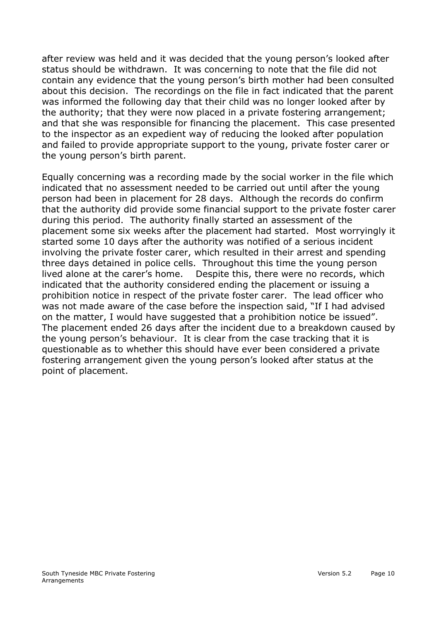after review was held and it was decided that the young person's looked after status should be withdrawn. It was concerning to note that the file did not contain any evidence that the young person's birth mother had been consulted about this decision. The recordings on the file in fact indicated that the parent was informed the following day that their child was no longer looked after by the authority; that they were now placed in a private fostering arrangement; and that she was responsible for financing the placement. This case presented to the inspector as an expedient way of reducing the looked after population and failed to provide appropriate support to the young, private foster carer or the young person's birth parent.

Equally concerning was a recording made by the social worker in the file which indicated that no assessment needed to be carried out until after the young person had been in placement for 28 days. Although the records do confirm that the authority did provide some financial support to the private foster carer during this period. The authority finally started an assessment of the placement some six weeks after the placement had started. Most worryingly it started some 10 days after the authority was notified of a serious incident involving the private foster carer, which resulted in their arrest and spending three days detained in police cells. Throughout this time the young person lived alone at the carer's home. Despite this, there were no records, which indicated that the authority considered ending the placement or issuing a prohibition notice in respect of the private foster carer. The lead officer who was not made aware of the case before the inspection said, "If I had advised on the matter, I would have suggested that a prohibition notice be issued". The placement ended 26 days after the incident due to a breakdown caused by the young person's behaviour. It is clear from the case tracking that it is questionable as to whether this should have ever been considered a private fostering arrangement given the young person's looked after status at the point of placement.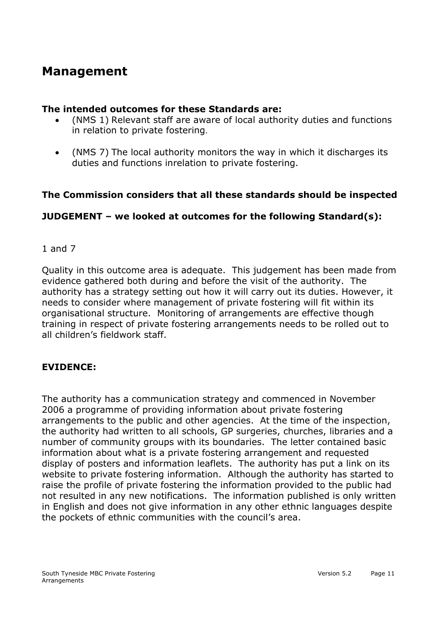## **Management**

#### **The intended outcomes for these Standards are:**

- (NMS 1) Relevant staff are aware of local authority duties and functions in relation to private fostering.
- (NMS 7) The local authority monitors the way in which it discharges its duties and functions inrelation to private fostering.

#### **The Commission considers that all these standards should be inspected**

#### **JUDGEMENT – we looked at outcomes for the following Standard(s):**

#### 1 and 7

Quality in this outcome area is adequate. This judgement has been made from evidence gathered both during and before the visit of the authority. The authority has a strategy setting out how it will carry out its duties. However, it needs to consider where management of private fostering will fit within its organisational structure. Monitoring of arrangements are effective though training in respect of private fostering arrangements needs to be rolled out to all children's fieldwork staff.

#### **EVIDENCE:**

The authority has a communication strategy and commenced in November 2006 a programme of providing information about private fostering arrangements to the public and other agencies. At the time of the inspection, the authority had written to all schools, GP surgeries, churches, libraries and a number of community groups with its boundaries. The letter contained basic information about what is a private fostering arrangement and requested display of posters and information leaflets. The authority has put a link on its website to private fostering information. Although the authority has started to raise the profile of private fostering the information provided to the public had not resulted in any new notifications. The information published is only written in English and does not give information in any other ethnic languages despite the pockets of ethnic communities with the council's area.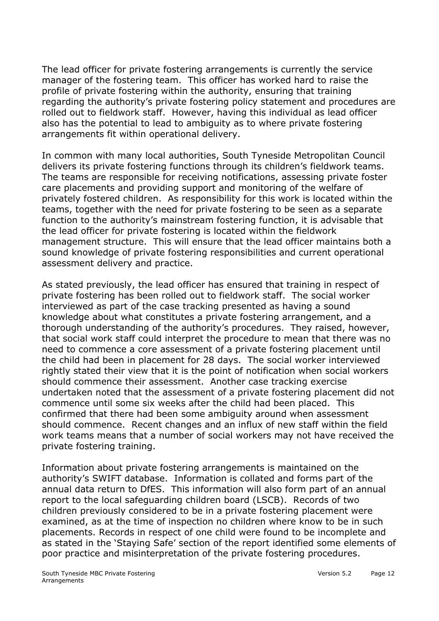The lead officer for private fostering arrangements is currently the service manager of the fostering team. This officer has worked hard to raise the profile of private fostering within the authority, ensuring that training regarding the authority's private fostering policy statement and procedures are rolled out to fieldwork staff. However, having this individual as lead officer also has the potential to lead to ambiguity as to where private fostering arrangements fit within operational delivery.

In common with many local authorities, South Tyneside Metropolitan Council delivers its private fostering functions through its children's fieldwork teams. The teams are responsible for receiving notifications, assessing private foster care placements and providing support and monitoring of the welfare of privately fostered children. As responsibility for this work is located within the teams, together with the need for private fostering to be seen as a separate function to the authority's mainstream fostering function, it is advisable that the lead officer for private fostering is located within the fieldwork management structure. This will ensure that the lead officer maintains both a sound knowledge of private fostering responsibilities and current operational assessment delivery and practice.

As stated previously, the lead officer has ensured that training in respect of private fostering has been rolled out to fieldwork staff. The social worker interviewed as part of the case tracking presented as having a sound knowledge about what constitutes a private fostering arrangement, and a thorough understanding of the authority's procedures. They raised, however, that social work staff could interpret the procedure to mean that there was no need to commence a core assessment of a private fostering placement until the child had been in placement for 28 days. The social worker interviewed rightly stated their view that it is the point of notification when social workers should commence their assessment. Another case tracking exercise undertaken noted that the assessment of a private fostering placement did not commence until some six weeks after the child had been placed. This confirmed that there had been some ambiguity around when assessment should commence. Recent changes and an influx of new staff within the field work teams means that a number of social workers may not have received the private fostering training.

Information about private fostering arrangements is maintained on the authority's SWIFT database. Information is collated and forms part of the annual data return to DfES. This information will also form part of an annual report to the local safeguarding children board (LSCB). Records of two children previously considered to be in a private fostering placement were examined, as at the time of inspection no children where know to be in such placements. Records in respect of one child were found to be incomplete and as stated in the 'Staying Safe' section of the report identified some elements of poor practice and misinterpretation of the private fostering procedures.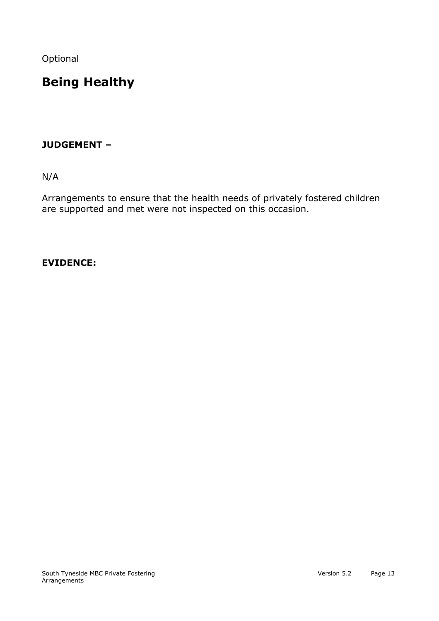Optional

# **Being Healthy**

#### **JUDGEMENT –**

N/A

Arrangements to ensure that the health needs of privately fostered children are supported and met were not inspected on this occasion.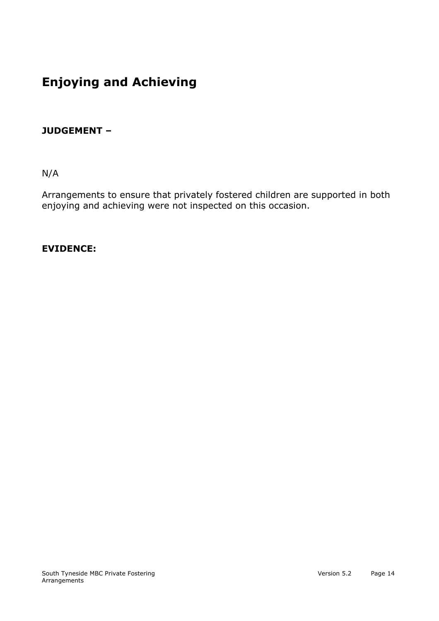# **Enjoying and Achieving**

#### **JUDGEMENT –**

N/A

Arrangements to ensure that privately fostered children are supported in both enjoying and achieving were not inspected on this occasion.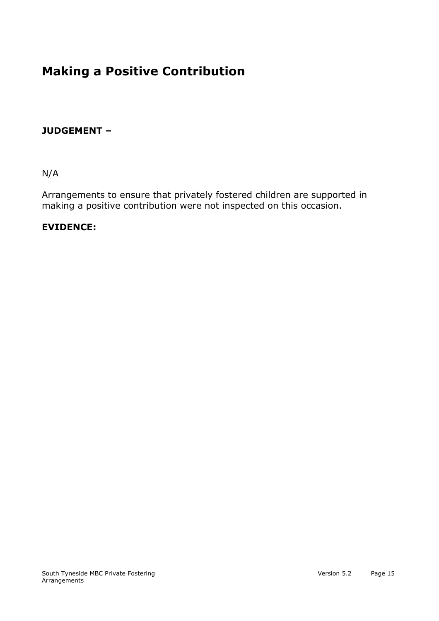# **Making a Positive Contribution**

#### **JUDGEMENT –**

N/A

Arrangements to ensure that privately fostered children are supported in making a positive contribution were not inspected on this occasion.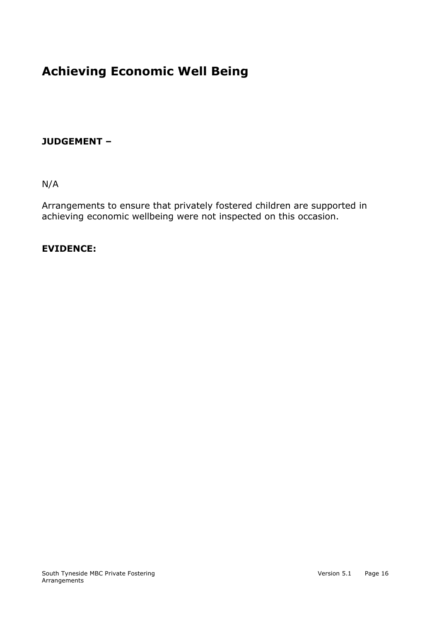# **Achieving Economic Well Being**

#### **JUDGEMENT –**

N/A

Arrangements to ensure that privately fostered children are supported in achieving economic wellbeing were not inspected on this occasion.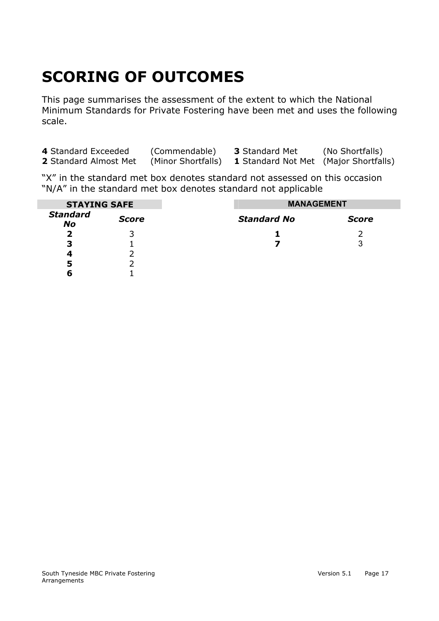# **SCORING OF OUTCOMES**

This page summarises the assessment of the extent to which the National Minimum Standards for Private Fostering have been met and uses the following scale.

| 4 Standard Exceeded   | (Commendable)      | <b>3</b> Standard Met                        | (No Shortfalls) |
|-----------------------|--------------------|----------------------------------------------|-----------------|
| 2 Standard Almost Met | (Minor Shortfalls) | <b>1</b> Standard Not Met (Major Shortfalls) |                 |

"X" in the standard met box denotes standard not assessed on this occasion "N/A" in the standard met box denotes standard not applicable

| <b>STAYING SAFE</b>          |              | <b>MANAGEMENT</b>  |              |
|------------------------------|--------------|--------------------|--------------|
| <b>Standard</b><br><b>No</b> | <b>Score</b> | <b>Standard No</b> | <b>Score</b> |
| 2                            |              |                    |              |
| 3                            |              |                    | 3            |
| 4                            |              |                    |              |
| 5                            |              |                    |              |
| 6                            |              |                    |              |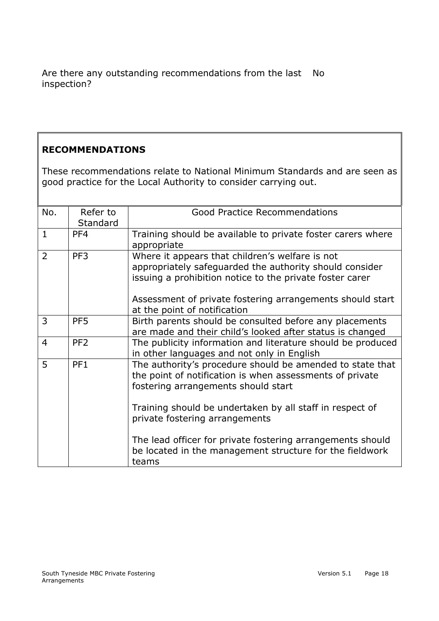Are there any outstanding recommendations from the last No inspection?

#### **RECOMMENDATIONS**

These recommendations relate to National Minimum Standards and are seen as good practice for the Local Authority to consider carrying out.

| No.<br>Refer to<br><b>Good Practice Recommendations</b><br>Standard<br>$\mathbf{1}$<br>PF4<br>Training should be available to private foster carers where<br>appropriate<br>$\overline{2}$<br>PF3<br>Where it appears that children's welfare is not<br>appropriately safeguarded the authority should consider<br>issuing a prohibition notice to the private foster carer<br>Assessment of private fostering arrangements should start<br>at the point of notification<br>3<br>PF <sub>5</sub><br>Birth parents should be consulted before any placements<br>are made and their child's looked after status is changed<br>PF <sub>2</sub><br>The publicity information and literature should be produced<br>$\overline{4}$<br>in other languages and not only in English<br>5<br>PF1<br>The authority's procedure should be amended to state that<br>the point of notification is when assessments of private<br>fostering arrangements should start |  |       |
|--------------------------------------------------------------------------------------------------------------------------------------------------------------------------------------------------------------------------------------------------------------------------------------------------------------------------------------------------------------------------------------------------------------------------------------------------------------------------------------------------------------------------------------------------------------------------------------------------------------------------------------------------------------------------------------------------------------------------------------------------------------------------------------------------------------------------------------------------------------------------------------------------------------------------------------------------------|--|-------|
|                                                                                                                                                                                                                                                                                                                                                                                                                                                                                                                                                                                                                                                                                                                                                                                                                                                                                                                                                        |  |       |
|                                                                                                                                                                                                                                                                                                                                                                                                                                                                                                                                                                                                                                                                                                                                                                                                                                                                                                                                                        |  |       |
|                                                                                                                                                                                                                                                                                                                                                                                                                                                                                                                                                                                                                                                                                                                                                                                                                                                                                                                                                        |  |       |
|                                                                                                                                                                                                                                                                                                                                                                                                                                                                                                                                                                                                                                                                                                                                                                                                                                                                                                                                                        |  |       |
|                                                                                                                                                                                                                                                                                                                                                                                                                                                                                                                                                                                                                                                                                                                                                                                                                                                                                                                                                        |  |       |
| Training should be undertaken by all staff in respect of<br>private fostering arrangements<br>The lead officer for private fostering arrangements should<br>be located in the management structure for the fieldwork                                                                                                                                                                                                                                                                                                                                                                                                                                                                                                                                                                                                                                                                                                                                   |  |       |
|                                                                                                                                                                                                                                                                                                                                                                                                                                                                                                                                                                                                                                                                                                                                                                                                                                                                                                                                                        |  | teams |